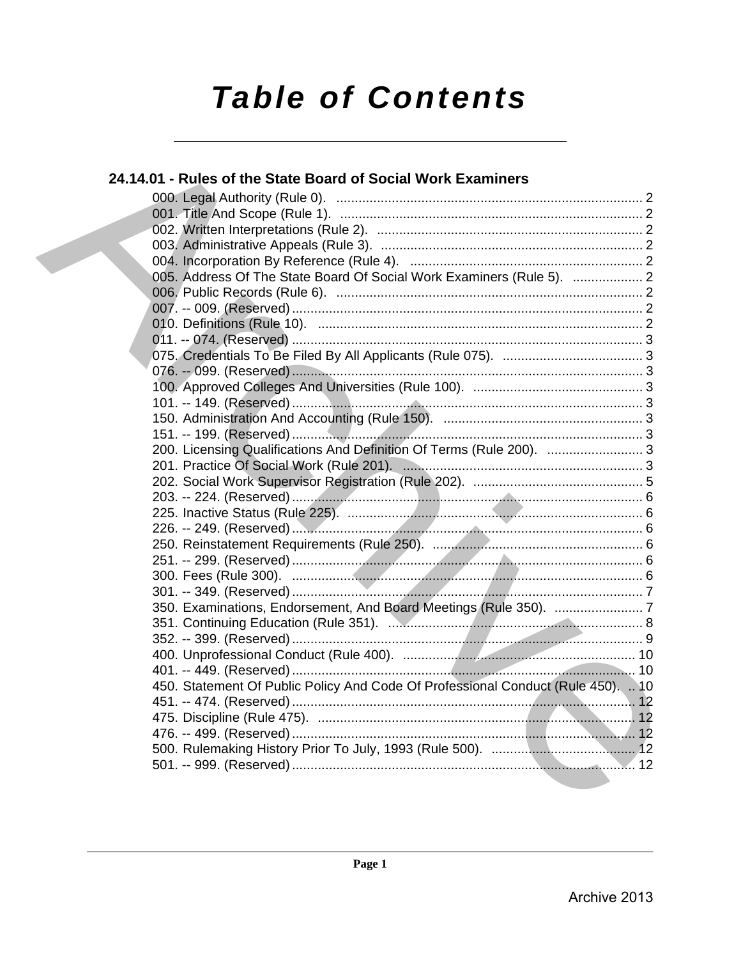# **Table of Contents**

| 24.14.01 - Rules of the State Board of Social Work Examiners                     |  |
|----------------------------------------------------------------------------------|--|
|                                                                                  |  |
|                                                                                  |  |
|                                                                                  |  |
|                                                                                  |  |
|                                                                                  |  |
| 005. Address Of The State Board Of Social Work Examiners (Rule 5).  2            |  |
|                                                                                  |  |
|                                                                                  |  |
|                                                                                  |  |
|                                                                                  |  |
|                                                                                  |  |
|                                                                                  |  |
|                                                                                  |  |
|                                                                                  |  |
|                                                                                  |  |
|                                                                                  |  |
| 200. Licensing Qualifications And Definition Of Terms (Rule 200).  3             |  |
|                                                                                  |  |
|                                                                                  |  |
|                                                                                  |  |
|                                                                                  |  |
|                                                                                  |  |
|                                                                                  |  |
|                                                                                  |  |
|                                                                                  |  |
|                                                                                  |  |
|                                                                                  |  |
|                                                                                  |  |
|                                                                                  |  |
|                                                                                  |  |
|                                                                                  |  |
| 450. Statement Of Public Policy And Code Of Professional Conduct (Rule 450).  10 |  |
|                                                                                  |  |
|                                                                                  |  |
|                                                                                  |  |
|                                                                                  |  |
|                                                                                  |  |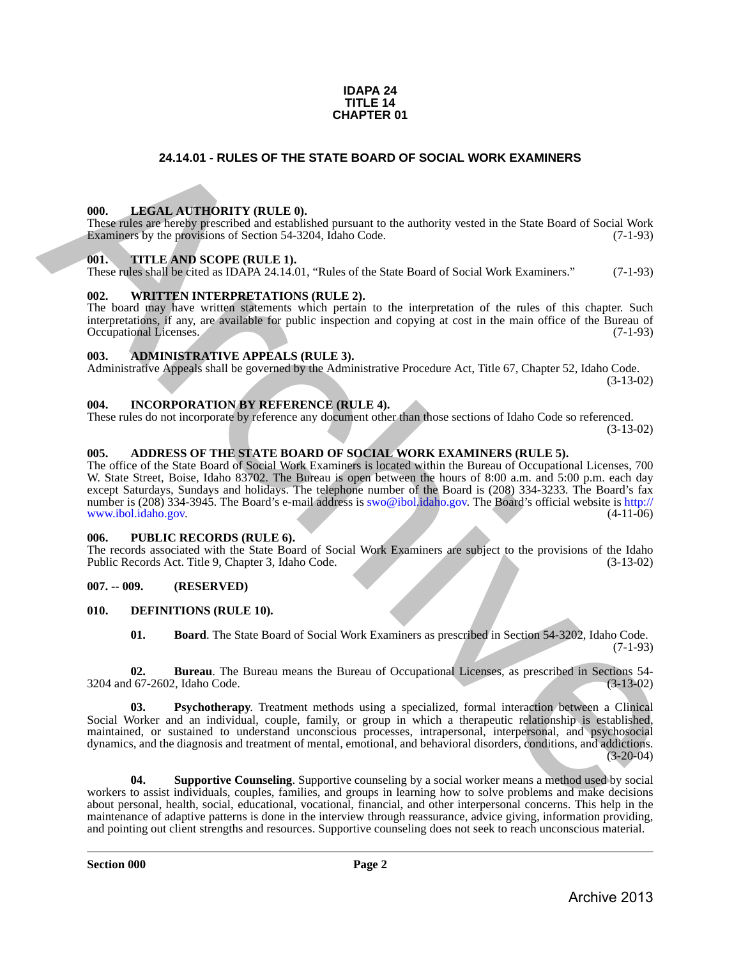#### **IDAPA 24 TITLE 14 CHAPTER 01**

# **24.14.01 - RULES OF THE STATE BOARD OF SOCIAL WORK EXAMINERS**

#### <span id="page-1-1"></span>**000. LEGAL AUTHORITY (RULE 0).**

These rules are hereby prescribed and established pursuant to the authority vested in the State Board of Social Work Examiners by the provisions of Section 54-3204, Idaho Code. (7-1-93)

#### <span id="page-1-2"></span>**001. TITLE AND SCOPE (RULE 1).**

These rules shall be cited as IDAPA 24.14.01, "Rules of the State Board of Social Work Examiners." (7-1-93)

#### <span id="page-1-3"></span>**002. WRITTEN INTERPRETATIONS (RULE 2).**

The board may have written statements which pertain to the interpretation of the rules of this chapter. Such interpretations, if any, are available for public inspection and copying at cost in the main office of the Bureau of Occupational Licenses. (7-1-93) Occupational Licenses.

# <span id="page-1-4"></span>**003. ADMINISTRATIVE APPEALS (RULE 3).**

Administrative Appeals shall be governed by the Administrative Procedure Act, Title 67, Chapter 52, Idaho Code. (3-13-02)

<span id="page-1-5"></span>**004. INCORPORATION BY REFERENCE (RULE 4).**

These rules do not incorporate by reference any document other than those sections of Idaho Code so referenced. (3-13-02)

# <span id="page-1-6"></span>**005. ADDRESS OF THE STATE BOARD OF SOCIAL WORK EXAMINERS (RULE 5).**

<span id="page-1-0"></span>The office of the State Board of Social Work Examiners is located within the Bureau of Occupational Licenses, 700 W. State Street, Boise, Idaho 83702. The Bureau is open between the hours of 8:00 a.m. and 5:00 p.m. each day except Saturdays, Sundays and holidays. The telephone number of the Board is (208) 334-3233. The Board's fax number is (208) 334-3945. The Board's e-mail address is swo@ibol.idaho.gov. The Board's official website is http://<br>www.ibol.idaho.gov. (4-11-06) www.ibol.idaho.gov. **24.14.01 • RULES OF THE STATE BOARD OF SOCIAL WORK EXAMINERS<br>
THE INSTEADANT INDUSTRY (EITHER)<br>
The state of the state of the state of the state of the state of the state of the state of the state of Social Work<br>
The met** 

# <span id="page-1-7"></span>**006. PUBLIC RECORDS (RULE 6).**

The records associated with the State Board of Social Work Examiners are subject to the provisions of the Idaho<br>Public Records Act. Title 9, Chapter 3, Idaho Code. (3-13-02) Public Records Act. Title 9, Chapter 3, Idaho Code.

# <span id="page-1-8"></span>**007. -- 009. (RESERVED)**

#### <span id="page-1-9"></span>**010. DEFINITIONS (RULE 10).**

<span id="page-1-13"></span><span id="page-1-12"></span><span id="page-1-11"></span><span id="page-1-10"></span>**01. Board**. The State Board of Social Work Examiners as prescribed in Section 54-3202, Idaho Code. (7-1-93)

**02. Bureau**. The Bureau means the Bureau of Occupational Licenses, as prescribed in Sections 54- 3204 and 67-2602, Idaho Code. (3-13-02)

**03. Psychotherapy**. Treatment methods using a specialized, formal interaction between a Clinical Social Worker and an individual, couple, family, or group in which a therapeutic relationship is established, maintained, or sustained to understand unconscious processes, intrapersonal, interpersonal, and psychosocial dynamics, and the diagnosis and treatment of mental, emotional, and behavioral disorders, conditions, and addictions.  $(3-20-04)$ 

<span id="page-1-14"></span>**04. Supportive Counseling**. Supportive counseling by a social worker means a method used by social workers to assist individuals, couples, families, and groups in learning how to solve problems and make decisions about personal, health, social, educational, vocational, financial, and other interpersonal concerns. This help in the maintenance of adaptive patterns is done in the interview through reassurance, advice giving, information providing, and pointing out client strengths and resources. Supportive counseling does not seek to reach unconscious material.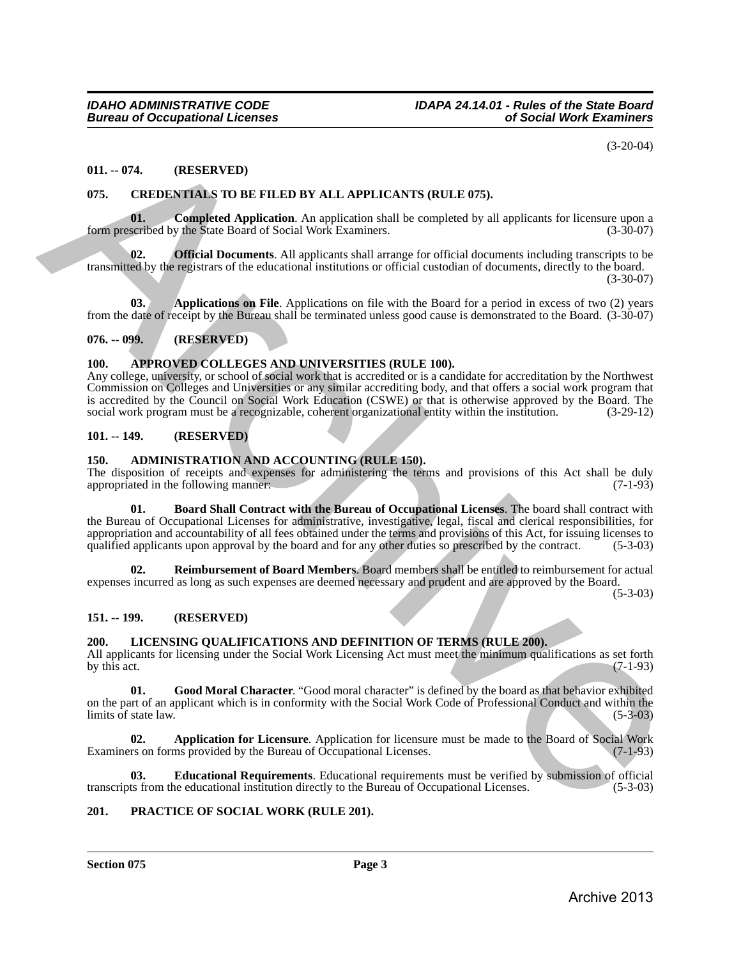(3-20-04)

# <span id="page-2-0"></span>**011. -- 074. (RESERVED)**

# <span id="page-2-13"></span><span id="page-2-1"></span>**075. CREDENTIALS TO BE FILED BY ALL APPLICANTS (RULE 075).**

<span id="page-2-15"></span>**01.** Completed Application. An application shall be completed by all applicants for licensure upon a scribed by the State Board of Social Work Examiners. (3-30-07) form prescribed by the State Board of Social Work Examiners.

<span id="page-2-16"></span>**Official Documents**. All applicants shall arrange for official documents including transcripts to be transmitted by the registrars of the educational institutions or official custodian of documents, directly to the board.

(3-30-07)

<span id="page-2-14"></span>**03.** Applications on File. Applications on file with the Board for a period in excess of two (2) years from the date of receipt by the Bureau shall be terminated unless good cause is demonstrated to the Board. (3-30-07)

# <span id="page-2-2"></span>**076. -- 099. (RESERVED)**

# <span id="page-2-12"></span><span id="page-2-3"></span>**100. APPROVED COLLEGES AND UNIVERSITIES (RULE 100).**

Any college, university, or school of social work that is accredited or is a candidate for accreditation by the Northwest Commission on Colleges and Universities or any similar accrediting body, and that offers a social work program that is accredited by the Council on Social Work Education (CSWE) or that is otherwise approved by the Board. The social work program must be a recognizable, coherent organizational entity within the institution. (3-29-12) social work program must be a recognizable, coherent organizational entity within the institution.

# <span id="page-2-4"></span>**101. -- 149. (RESERVED)**

# <span id="page-2-9"></span><span id="page-2-5"></span>**150. ADMINISTRATION AND ACCOUNTING (RULE 150).**

<span id="page-2-10"></span>The disposition of receipts and expenses for administering the terms and provisions of this Act shall be duly appropriated in the following manner: appropriated in the following manner:

**01. Board Shall Contract with the Bureau of Occupational Licenses**. The board shall contract with the Bureau of Occupational Licenses for administrative, investigative, legal, fiscal and clerical responsibilities, for appropriation and accountability of all fees obtained under the terms and provisions of this Act, for issuing licenses to qualified applicants upon approval by the board and for any other duties so prescribed by the contract. (5-3-03) 011. – 074. (RESERVED) (3.2014)<br>
075. CREDENTALS TO BE FILED BY ALL APPLICANTS (RULE 075).<br>
075. CREDENTALS TO BE FILED BY ALL APPLICANTS (RULE 075).<br>
1975. CREDENTALS TO BE FILED BY ALL APPLICANTS (RULE 075).<br>
1976. CRED

<span id="page-2-11"></span>**02. Reimbursement of Board Members**. Board members shall be entitled to reimbursement for actual expenses incurred as long as such expenses are deemed necessary and prudent and are approved by the Board.

(5-3-03)

# <span id="page-2-6"></span>**151. -- 199. (RESERVED)**

# <span id="page-2-17"></span><span id="page-2-7"></span>**200. LICENSING QUALIFICATIONS AND DEFINITION OF TERMS (RULE 200).**

All applicants for licensing under the Social Work Licensing Act must meet the minimum qualifications as set forth by this act. (7-1-93) by this act.  $(7-1-93)$ 

<span id="page-2-20"></span>**01. Good Moral Character**. "Good moral character" is defined by the board as that behavior exhibited on the part of an applicant which is in conformity with the Social Work Code of Professional Conduct and within the  $\text{limits of state law.}$  (5-3-03)

<span id="page-2-18"></span>**Application for Licensure**. Application for licensure must be made to the Board of Social Work ms provided by the Bureau of Occupational Licenses. (7-1-93) Examiners on forms provided by the Bureau of Occupational Licenses.

<span id="page-2-19"></span>**03. Educational Requirements**. Educational requirements must be verified by submission of official ts from the educational institution directly to the Bureau of Occupational Licenses. (5-3-03) transcripts from the educational institution directly to the Bureau of Occupational Licenses.

# <span id="page-2-21"></span><span id="page-2-8"></span>**201. PRACTICE OF SOCIAL WORK (RULE 201).**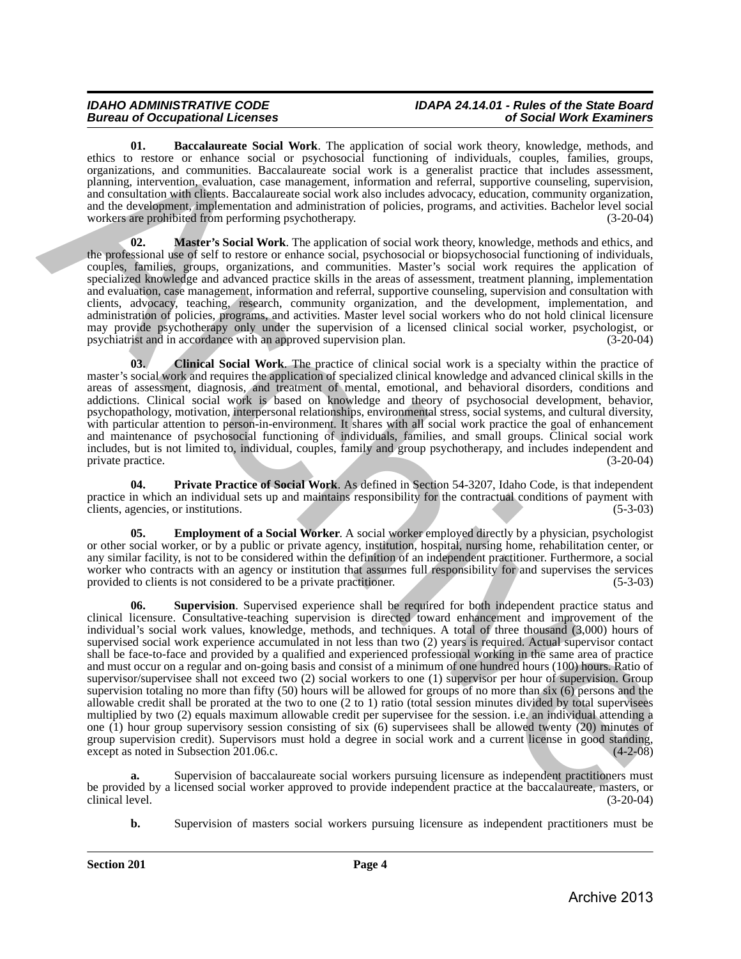# *Bureau of Occupational Licenses of Social Work Examiners*

# *IDAHO ADMINISTRATIVE CODE IDAPA 24.14.01 - Rules of the State Board*

<span id="page-3-0"></span>**01. Baccalaureate Social Work**. The application of social work theory, knowledge, methods, and ethics to restore or enhance social or psychosocial functioning of individuals, couples, families, groups, organizations, and communities. Baccalaureate social work is a generalist practice that includes assessment, planning, intervention, evaluation, case management, information and referral, supportive counseling, supervision, and consultation with clients. Baccalaureate social work also includes advocacy, education, community organization, and the development, implementation and administration of policies, programs, and activities. Bachelor level social<br>workers are prohibited from performing psychotherapy. (3-20-04) workers are prohibited from performing psychotherapy.

<span id="page-3-3"></span>**Master's Social Work**. The application of social work theory, knowledge, methods and ethics, and the professional use of self to restore or enhance social, psychosocial or biopsychosocial functioning of individuals, couples, families, groups, organizations, and communities. Master's social work requires the application of specialized knowledge and advanced practice skills in the areas of assessment, treatment planning, implementation and evaluation, case management, information and referral, supportive counseling, supervision and consultation with clients, advocacy, teaching, research, community organization, and the development, implementation, and administration of policies, programs, and activities. Master level social workers who do not hold clinical licensure may provide psychotherapy only under the supervision of a licensed clinical social worker, psychologist, or psychiatrist and in accordance with an approved supervision plan. (3-20-04) psychiatrist and in accordance with an approved supervision plan.

<span id="page-3-1"></span>**03. Clinical Social Work**. The practice of clinical social work is a specialty within the practice of master's social work and requires the application of specialized clinical knowledge and advanced clinical skills in the areas of assessment, diagnosis, and treatment of mental, emotional, and behavioral disorders, conditions and addictions. Clinical social work is based on knowledge and theory of psychosocial development, behavior, psychopathology, motivation, interpersonal relationships, environmental stress, social systems, and cultural diversity, with particular attention to person-in-environment. It shares with all social work practice the goal of enhancement and maintenance of psychosocial functioning of individuals, families, and small groups. Clinical social work includes, but is not limited to, individual, couples, family and group psychotherapy, and includes independent and private practice.

<span id="page-3-4"></span>**04. Private Practice of Social Work**. As defined in Section 54-3207, Idaho Code, is that independent practice in which an individual sets up and maintains responsibility for the contractual conditions of payment with clients, agencies, or institutions. (5-3-03) clients, agencies, or institutions.

<span id="page-3-2"></span>**Employment of a Social Worker**. A social worker employed directly by a physician, psychologist or other social worker, or by a public or private agency, institution, hospital, nursing home, rehabilitation center, or any similar facility, is not to be considered within the definition of an independent practitioner. Furthermore, a social worker who contracts with an agency or institution that assumes full responsibility for and supervises the services provided to clients is not considered to be a private practitioner. (5-3-03)

**06. Supervision**. Supervised experience shall be required for both independent practice status and clinical licensure. Consultative-teaching supervision is directed toward enhancement and improvement of the individual's social work values, knowledge, methods, and techniques. A total of three thousand (3,000) hours of supervised social work experience accumulated in not less than two (2) years is required. Actual supervisor contact shall be face-to-face and provided by a qualified and experienced professional working in the same area of practice and must occur on a regular and on-going basis and consist of a minimum of one hundred hours (100) hours. Ratio of supervisor/supervisee shall not exceed two (2) social workers to one (1) supervisor per hour of supervision. Group supervision totaling no more than fifty (50) hours will be allowed for groups of no more than six (6) persons and the allowable credit shall be prorated at the two to one (2 to 1) ratio (total session minutes divided by total supervisees multiplied by two (2) equals maximum allowable credit per supervisee for the session. i.e. an individual attending a one (1) hour group supervisory session consisting of six (6) supervisees shall be allowed twenty (20) minutes of group supervision credit). Supervisors must hold a degree in social work and a current license in good standing, except as noted in Subsection 201.06.c. except as noted in Subsection 201.06.c. The three linearity Social Work. The application of weather dependent in the specific method, and the specific method, and the specific method, and the specific method, and the specific method, and the specific method, an

**a.** Supervision of baccalaureate social workers pursuing licensure as independent practitioners must be provided by a licensed social worker approved to provide independent practice at the baccalaureate, masters, or clinical level. (3-20-04) clinical level. (3-20-04)

**b.** Supervision of masters social workers pursuing licensure as independent practitioners must be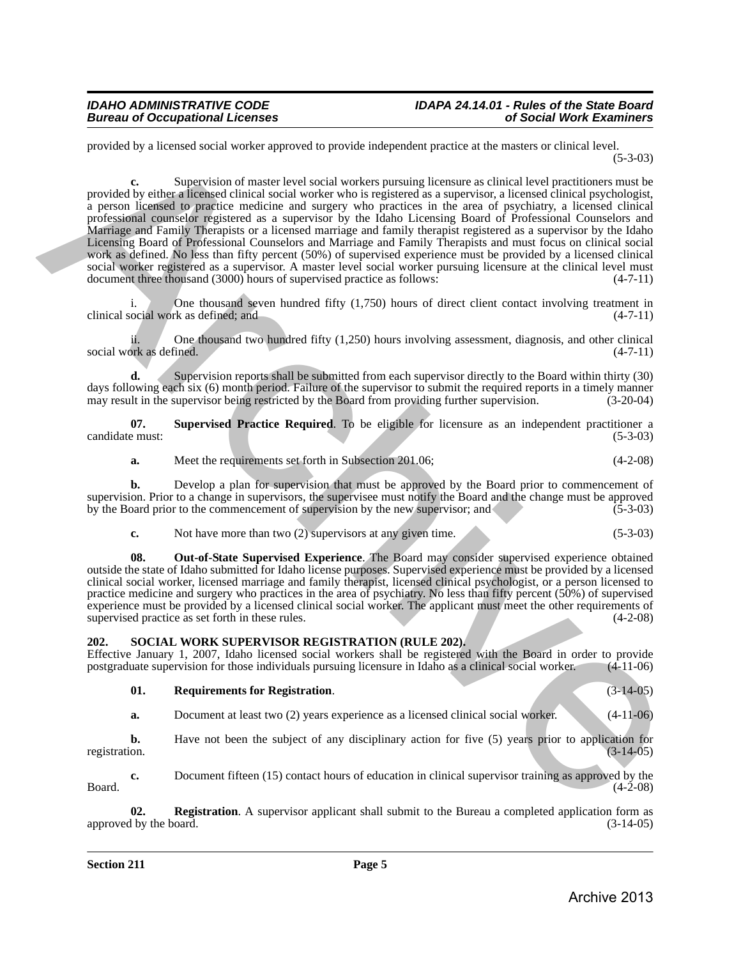provided by a licensed social worker approved to provide independent practice at the masters or clinical level. (5-3-03)

**c.** Supervision of master level social workers pursuing licensure as clinical level practitioners must be provided by either a licensed clinical social worker who is registered as a supervisor, a licensed clinical psychologist, a person licensed to practice medicine and surgery who practices in the area of psychiatry, a licensed clinical professional counselor registered as a supervisor by the Idaho Licensing Board of Professional Counselors and Marriage and Family Therapists or a licensed marriage and family therapist registered as a supervisor by the Idaho Licensing Board of Professional Counselors and Marriage and Family Therapists and must focus on clinical social work as defined. No less than fifty percent (50%) of supervised experience must be provided by a licensed clinical social worker registered as a supervisor. A master level social worker pursuing licensure at the clinical level must<br>document three thousand (3000) hours of supervised practice as follows: (4-7-11) document three thousand (3000) hours of supervised practice as follows: provided by a licensed vacial worker supproved to provide independent practice at the masser or clinical beginning<br>a provided by since a fixed in the state of masser lived website pursuit in the state of this distribution

One thousand seven hundred fifty  $(1,750)$  hours of direct client contact involving treatment in clinical social work as defined; and (4-7-11)

ii. One thousand two hundred fifty (1,250) hours involving assessment, diagnosis, and other clinical (4-7-11) social work as defined.

**d.** Supervision reports shall be submitted from each supervisor directly to the Board within thirty (30) days following each six (6) month period. Failure of the supervisor to submit the required reports in a timely manner<br>may result in the supervisor being restricted by the Board from providing further supervision. (3-20-04) may result in the supervisor being restricted by the Board from providing further supervision.

**07. Supervised Practice Required**. To be eligible for licensure as an independent practitioner a candidate must: (5-3-03)

**a.** Meet the requirements set forth in Subsection 201.06; (4-2-08)

**b.** Develop a plan for supervision that must be approved by the Board prior to commencement of supervision. Prior to a change in supervisors, the supervisee must notify the Board and the change must be approved<br>by the Board prior to the commencement of supervision by the new supervisor; and (5-3-03) by the Board prior to the commencement of supervision by the new supervisor; and

| U. | Not have more than two (2) supervisors at any given time. |  |  | $(5-3-03)$ |
|----|-----------------------------------------------------------|--|--|------------|
|----|-----------------------------------------------------------|--|--|------------|

**08. Out-of-State Supervised Experience**. The Board may consider supervised experience obtained outside the state of Idaho submitted for Idaho license purposes. Supervised experience must be provided by a licensed clinical social worker, licensed marriage and family therapist, licensed clinical psychologist, or a person licensed to practice medicine and surgery who practices in the area of psychiatry. No less than fifty percent (50%) of supervised experience must be provided by a licensed clinical social worker. The applicant must meet the other requirements of supervised practice as set forth in these rules. (4-2-08) supervised practice as set forth in these rules.

# <span id="page-4-1"></span><span id="page-4-0"></span>**202. SOCIAL WORK SUPERVISOR REGISTRATION (RULE 202).**

Effective January 1, 2007, Idaho licensed social workers shall be registered with the Board in order to provide postgraduate supervision for those individuals pursuing licensure in Idaho as a clinical social worker. (4-11postgraduate supervision for those individuals pursuing licensure in Idaho as a clinical social worker.

<span id="page-4-3"></span>

| <b>Requirements for Registration.</b> |  | $(3-14-05)$ |
|---------------------------------------|--|-------------|
|                                       |  |             |

**a.** Document at least two (2) years experience as a licensed clinical social worker. (4-11-06)

**b.** Have not been the subject of any disciplinary action for five (5) years prior to application for registration.  $(3-14-05)$ registration. (3-14-05)

**c.** Document fifteen (15) contact hours of education in clinical supervisor training as approved by the (4-2-08)  $Board.$  (4-2-08)

<span id="page-4-2"></span>**02. Registration**. A supervisor applicant shall submit to the Bureau a completed application form as the board. (3-14-05) approved by the board.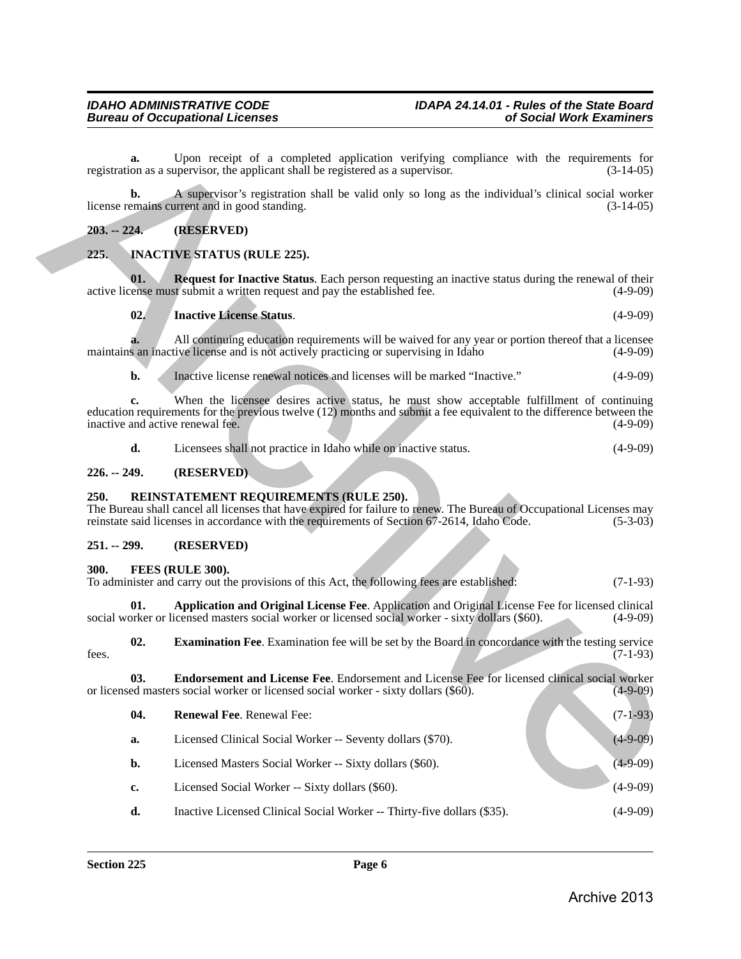# <span id="page-5-0"></span>**203. -- 224. (RESERVED)**

# <span id="page-5-13"></span><span id="page-5-12"></span><span id="page-5-11"></span><span id="page-5-1"></span>**225. INACTIVE STATUS (RULE 225).**

# <span id="page-5-2"></span>**226. -- 249. (RESERVED)**

# <span id="page-5-14"></span><span id="page-5-3"></span>**250. REINSTATEMENT REQUIREMENTS (RULE 250).**

# <span id="page-5-4"></span>**251. -- 299. (RESERVED)**

# <span id="page-5-6"></span><span id="page-5-5"></span>**300. FEES (RULE 300).**

<span id="page-5-10"></span><span id="page-5-9"></span><span id="page-5-8"></span><span id="page-5-7"></span>

| To administer and carry out the provisions of this Act, the following fees are established: |  | $(7-1-93)$ |
|---------------------------------------------------------------------------------------------|--|------------|
|                                                                                             |  |            |
|                                                                                             |  |            |

| a.            | Upon receipt of a completed application verifying compliance with the requirements for<br>registration as a supervisor, the applicant shall be registered as a supervisor.                                                                                    | $(3-14-05)$ |
|---------------|---------------------------------------------------------------------------------------------------------------------------------------------------------------------------------------------------------------------------------------------------------------|-------------|
| b.            | A supervisor's registration shall be valid only so long as the individual's clinical social worker<br>license remains current and in good standing.                                                                                                           | $(3-14-05)$ |
| $203. - 224.$ | (RESERVED)                                                                                                                                                                                                                                                    |             |
| 225.          | <b>INACTIVE STATUS (RULE 225).</b>                                                                                                                                                                                                                            |             |
| 01.           | <b>Request for Inactive Status.</b> Each person requesting an inactive status during the renewal of their<br>active license must submit a written request and pay the established fee.                                                                        | $(4-9-09)$  |
| 02.           | <b>Inactive License Status.</b>                                                                                                                                                                                                                               | $(4-9-09)$  |
|               | All continuing education requirements will be waived for any year or portion thereof that a licensee<br>maintains an inactive license and is not actively practicing or supervising in Idaho                                                                  | $(4-9-09)$  |
| b.            | Inactive license renewal notices and licenses will be marked "Inactive."                                                                                                                                                                                      | $(4-9-09)$  |
| c.            | When the licensee desires active status, he must show acceptable fulfillment of continuing<br>education requirements for the previous twelve (12) months and submit a fee equivalent to the difference between the<br>inactive and active renewal fee.        | $(4-9-09)$  |
| d.            | Licensees shall not practice in Idaho while on inactive status.                                                                                                                                                                                               | $(4-9-09)$  |
| $226. - 249.$ | (RESERVED)                                                                                                                                                                                                                                                    |             |
| 250.          | REINSTATEMENT REQUIREMENTS (RULE 250).<br>The Bureau shall cancel all licenses that have expired for failure to renew. The Bureau of Occupational Licenses may<br>reinstate said licenses in accordance with the requirements of Section 67-2614, Idaho Code. | $(5-3-03)$  |
| $251. - 299.$ | (RESERVED)                                                                                                                                                                                                                                                    |             |
| 300.          | FEES (RULE 300).<br>To administer and carry out the provisions of this Act, the following fees are established:                                                                                                                                               | $(7-1-93)$  |
| 01.           | Application and Original License Fee. Application and Original License Fee for licensed clinical<br>social worker or licensed masters social worker or licensed social worker - sixty dollars (\$60).                                                         | $(4-9-09)$  |
| 02.<br>fees.  | <b>Examination Fee.</b> Examination fee will be set by the Board in concordance with the testing service                                                                                                                                                      | $(7-1-93)$  |
| 03.           | Endorsement and License Fee. Endorsement and License Fee for licensed clinical social worker<br>or licensed masters social worker or licensed social worker - sixty dollars $(\$6\overline{0})$ .                                                             | $(4-9-09)$  |
| 04.           | Renewal Fee. Renewal Fee:                                                                                                                                                                                                                                     | $(7-1-93)$  |
| a.            | Licensed Clinical Social Worker -- Seventy dollars (\$70).                                                                                                                                                                                                    | $(4-9-09)$  |
| b.            | Licensed Masters Social Worker -- Sixty dollars (\$60).                                                                                                                                                                                                       | $(4-9-09)$  |
| c.            | Licensed Social Worker -- Sixty dollars (\$60).                                                                                                                                                                                                               | $(4-9-09)$  |
| d.            | Inactive Licensed Clinical Social Worker -- Thirty-five dollars (\$35).                                                                                                                                                                                       | $(4-9-09)$  |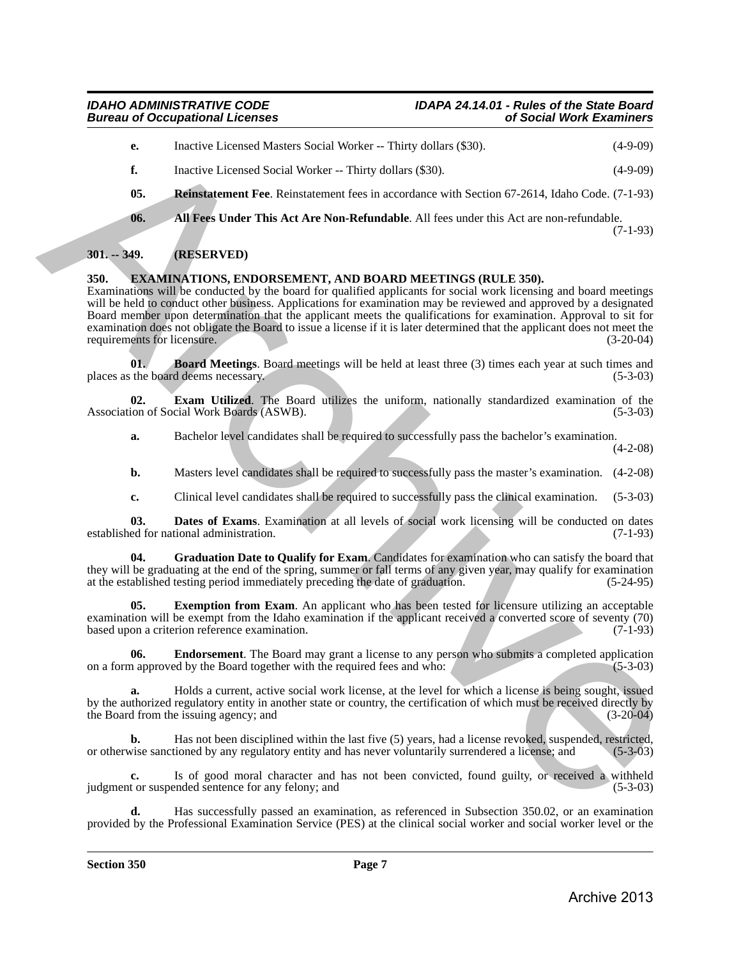- **e.** Inactive Licensed Masters Social Worker -- Thirty dollars (\$30). (4-9-09)
- <span id="page-6-9"></span>**f.** Inactive Licensed Social Worker -- Thirty dollars (\$30). (4-9-09)
- **05. Reinstatement Fee**. Reinstatement fees in accordance with Section 67-2614, Idaho Code. (7-1-93)
- <span id="page-6-8"></span>**06. All Fees Under This Act Are Non-Refundable**. All fees under this Act are non-refundable.

#### (7-1-93)

# <span id="page-6-0"></span>**301. -- 349. (RESERVED)**

# <span id="page-6-2"></span><span id="page-6-1"></span>**350. EXAMINATIONS, ENDORSEMENT, AND BOARD MEETINGS (RULE 350).**

Examinations will be conducted by the board for qualified applicants for social work licensing and board meetings will be held to conduct other business. Applications for examination may be reviewed and approved by a designated Board member upon determination that the applicant meets the qualifications for examination. Approval to sit for examination does not obligate the Board to issue a license if it is later determined that the applicant does not meet the requirements for licensure. (3-20-04) requirements for licensure. E.<br>
Thus the Licensed Monter, Sicil Worker – Thing Juliar (NCO).<br>
A. Inactive Licensed Monter – This yieldin (SSO).<br>
Archives Constraint Section 2018) (49.499)<br>
6. All Pest Under This Act Ave Non-Relaxable. All foces unde

<span id="page-6-3"></span>**01. Board Meetings**. Board meetings will be held at least three (3) times each year at such times and the board deems necessary. (5-3-03) places as the board deems necessary.

**02. Exam Utilized**. The Board utilizes the uniform, nationally standardized examination of the ion of Social Work Boards (ASWB). Association of Social Work Boards (ASWB).

<span id="page-6-6"></span>**a.** Bachelor level candidates shall be required to successfully pass the bachelor's examination. (4-2-08)

- **b.** Masters level candidates shall be required to successfully pass the master's examination.  $(4-2-08)$
- <span id="page-6-7"></span><span id="page-6-4"></span>**c.** Clinical level candidates shall be required to successfully pass the clinical examination. (5-3-03)

**03. Dates of Exams**. Examination at all levels of social work licensing will be conducted on dates ed for national administration. (7-1-93) established for national administration.

**04. Graduation Date to Qualify for Exam**. Candidates for examination who can satisfy the board that they will be graduating at the end of the spring, summer or fall terms of any given year, may qualify for examination at the established testing period immediately preceding the date of graduation. (5-24-95)

**Exemption from Exam**. An applicant who has been tested for licensure utilizing an acceptable examination will be exempt from the Idaho examination if the applicant received a converted score of seventy (70) based upon a criterion reference examination. (7-1-93) based upon a criterion reference examination.

<span id="page-6-5"></span>**06. Endorsement**. The Board may grant a license to any person who submits a completed application approved by the Board together with the required fees and who: (5-3-03) on a form approved by the Board together with the required fees and who:

**a.** Holds a current, active social work license, at the level for which a license is being sought, issued by the authorized regulatory entity in another state or country, the certification of which must be received directly by the Board from the issuing agency; and (3-20-04)

**b.** Has not been disciplined within the last five (5) years, had a license revoked, suspended, restricted, vise sanctioned by any regulatory entity and has never voluntarily surrendered a license; and (5-3-03) or otherwise sanctioned by any regulatory entity and has never voluntarily surrendered a license; and

**c.** Is of good moral character and has not been convicted, found guilty, or received a withheld tor suspended sentence for any felony; and (5-3-03) judgment or suspended sentence for any felony; and

**d.** Has successfully passed an examination, as referenced in Subsection 350.02, or an examination provided by the Professional Examination Service (PES) at the clinical social worker and social worker level or the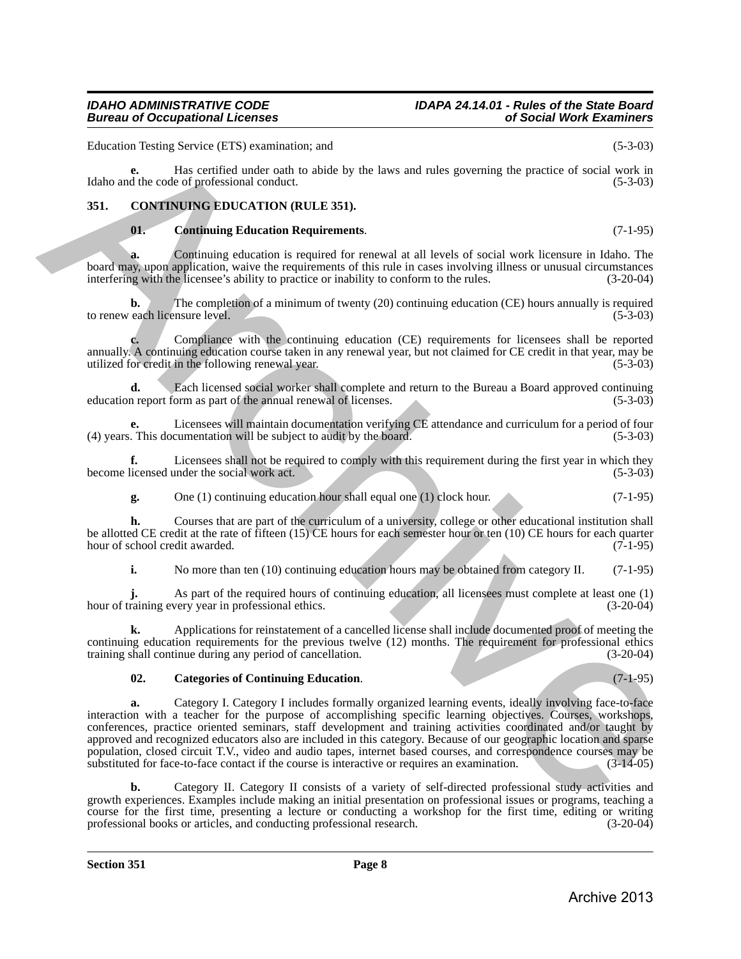Education Testing Service (ETS) examination; and (5-3-03)

**e.** Has certified under oath to abide by the laws and rules governing the practice of social work in Idaho and the code of professional conduct. (5-3-03)

# <span id="page-7-0"></span>**351. CONTINUING EDUCATION (RULE 351).**

# <span id="page-7-3"></span><span id="page-7-1"></span>**01. Continuing Education Requirements**. (7-1-95)

**a.** Continuing education is required for renewal at all levels of social work licensure in Idaho. The board may, upon application, waive the requirements of this rule in cases involving illness or unusual circumstances interfering with the licensee's ability to practice or inability to conform to the rules. (3-20-04) interfering with the licensee's ability to practice or inability to conform to the rules.

**b.** The completion of a minimum of twenty (20) continuing education (CE) hours annually is required to renew each licensure level. (5-3-03)

**c.** Compliance with the continuing education (CE) requirements for licensees shall be reported annually. A continuing education course taken in any renewal year, but not claimed for CE credit in that year, may be utilized for credit in the following renewal year. (5-3-03)

**d.** Each licensed social worker shall complete and return to the Bureau a Board approved continuing n report form as part of the annual renewal of licenses. (5-3-03) education report form as part of the annual renewal of licenses.

**e.** Licensees will maintain documentation verifying CE attendance and curriculum for a period of four (4) years. This documentation will be subject to audit by the board. (5-3-03)

**f.** Licensees shall not be required to comply with this requirement during the first year in which they licensed under the social work act. (5-3-03) become licensed under the social work act.

**g.** One (1) continuing education hour shall equal one (1) clock hour. (7-1-95)

**h.** Courses that are part of the curriculum of a university, college or other educational institution shall be allotted CE credit at the rate of fifteen (15) CE hours for each semester hour or ten (10) CE hours for each quarter hour of school credit awarded. (7-1-95) hour of school credit awarded.

**i.** No more than ten (10) continuing education hours may be obtained from category II. (7-1-95)

As part of the required hours of continuing education, all licensees must complete at least one (1) very year in professional ethics. (3-20-04) hour of training every year in professional ethics.

**k.** Applications for reinstatement of a cancelled license shall include documented proof of meeting the continuing education requirements for the previous twelve (12) months. The requirement for professional ethics training shall continue during any period of cancellation. (3-20-04)

# <span id="page-7-2"></span>**02. Categories of Continuing Education**. (7-1-95)

**a.** Category I. Category I includes formally organized learning events, ideally involving face-to-face interaction with a teacher for the purpose of accomplishing specific learning objectives. Courses, workshops, conferences, practice oriented seminars, staff development and training activities coordinated and/or taught by approved and recognized educators also are included in this category. Because of our geographic location and sparse population, closed circuit T.V., video and audio tapes, internet based courses, and correspondence courses may be substituted for face-to-face contact if the course is interactive or requires an examination. (3-14-05) Financism Testing Newton (FTS) current<br>intervention and the station of the second intervention and the system precision of the station of the station<br>of the control of the stationary of the stationary of the stationary of

**b.** Category II. Category II consists of a variety of self-directed professional study activities and growth experiences. Examples include making an initial presentation on professional issues or programs, teaching a course for the first time, presenting a lecture or conducting a workshop for the first time, editing or writing professional books or articles, and conducting professional research. (3-20-04) professional books or articles, and conducting professional research.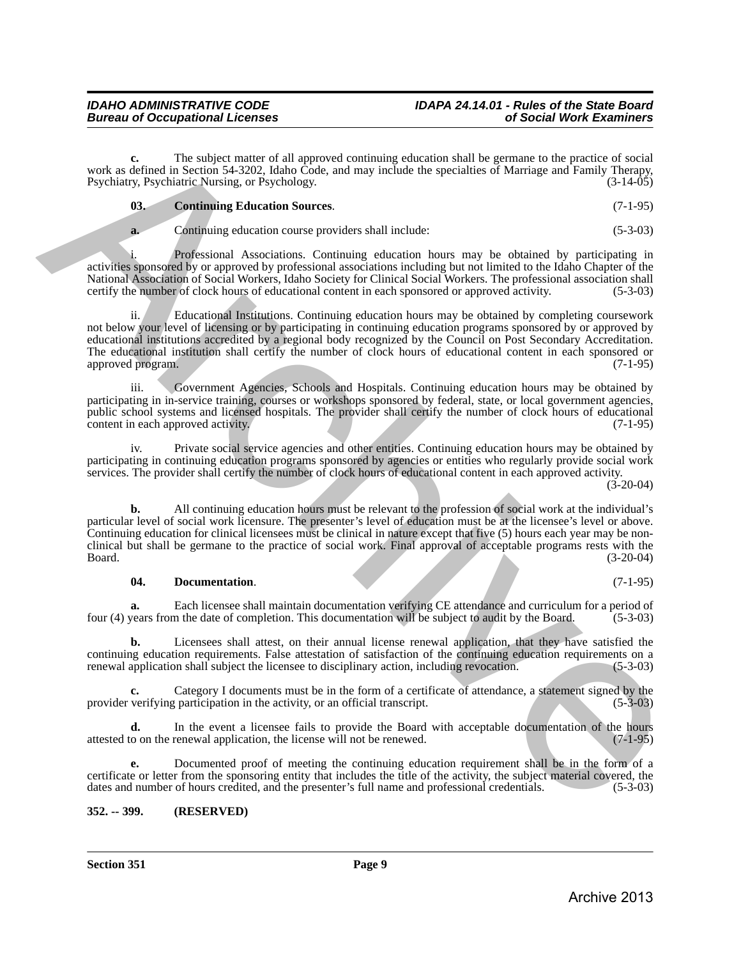**c.** The subject matter of all approved continuing education shall be germane to the practice of social work as defined in Section 54-3202, Idaho Code, and may include the specialties of Marriage and Family Therapy,<br>Psychiatry, Psychiatric Nursing, or Psychology. (3-14-05) Psychiatry, Psychiatric Nursing, or Psychology.

# <span id="page-8-1"></span>**03. Continuing Education Sources**. (7-1-95)

**a.** Continuing education course providers shall include: (5-3-03)

Professional Associations. Continuing education hours may be obtained by participating in activities sponsored by or approved by professional associations including but not limited to the Idaho Chapter of the National Association of Social Workers, Idaho Society for Clinical Social Workers. The professional association shall certify the number of clock hours of educational content in each sponsored or approved activity. (5-3-03 certify the number of clock hours of educational content in each sponsored or approved activity.

ii. Educational Institutions. Continuing education hours may be obtained by completing coursework not below your level of licensing or by participating in continuing education programs sponsored by or approved by educational institutions accredited by a regional body recognized by the Council on Post Secondary Accreditation. The educational institution shall certify the number of clock hours of educational content in each sponsored or approved program. (7-1-95)

iii. Government Agencies, Schools and Hospitals. Continuing education hours may be obtained by participating in in-service training, courses or workshops sponsored by federal, state, or local government agencies, public school systems and licensed hospitals. The provider shall certify the number of clock hours of educational content in each approved activity. (7-1-95)

iv. Private social service agencies and other entities. Continuing education hours may be obtained by participating in continuing education programs sponsored by agencies or entities who regularly provide social work services. The provider shall certify the number of clock hours of educational content in each approved activity.

 $(3-20-04)$ 

**b.** All continuing education hours must be relevant to the profession of social work at the individual's particular level of social work licensure. The presenter's level of education must be at the licensee's level or above. Continuing education for clinical licensees must be clinical in nature except that five (5) hours each year may be nonclinical but shall be germane to the practice of social work. Final approval of acceptable programs rests with the Board. (3-20-04) vota. a. Mineri The matrix of all negrowed continuing education and the generate of separation of the matter of separation by the matter of separation by the matter of the matter of the matter of the matter of the matter

# <span id="page-8-2"></span>**04. Documentation**. (7-1-95)

**a.** Each licensee shall maintain documentation verifying CE attendance and curriculum for a period of years from the date of completion. This documentation will be subject to audit by the Board. (5-3-03) four (4) years from the date of completion. This documentation will be subject to audit by the Board.

**b.** Licensees shall attest, on their annual license renewal application, that they have satisfied the continuing education requirements. False attestation of satisfaction of the continuing education requirements on a renewal application shall subject the licensee to disciplinary action, including revocation. (5-3-03) renewal application shall subject the licensee to disciplinary action, including revocation.

Category I documents must be in the form of a certificate of attendance, a statement signed by the curricipation in the activity or an official transcript. (5-3-03) provider verifying participation in the activity, or an official transcript.

**d.** In the event a licensee fails to provide the Board with acceptable documentation of the hours o on the renewal application, the license will not be renewed. (7-1-95) attested to on the renewal application, the license will not be renewed.

**e.** Documented proof of meeting the continuing education requirement shall be in the form of a certificate or letter from the sponsoring entity that includes the title of the activity, the subject material covered, the dates and number of hours credited, and the presenter's full name and professional credentials. (5-3-03)

# <span id="page-8-0"></span>**352. -- 399. (RESERVED)**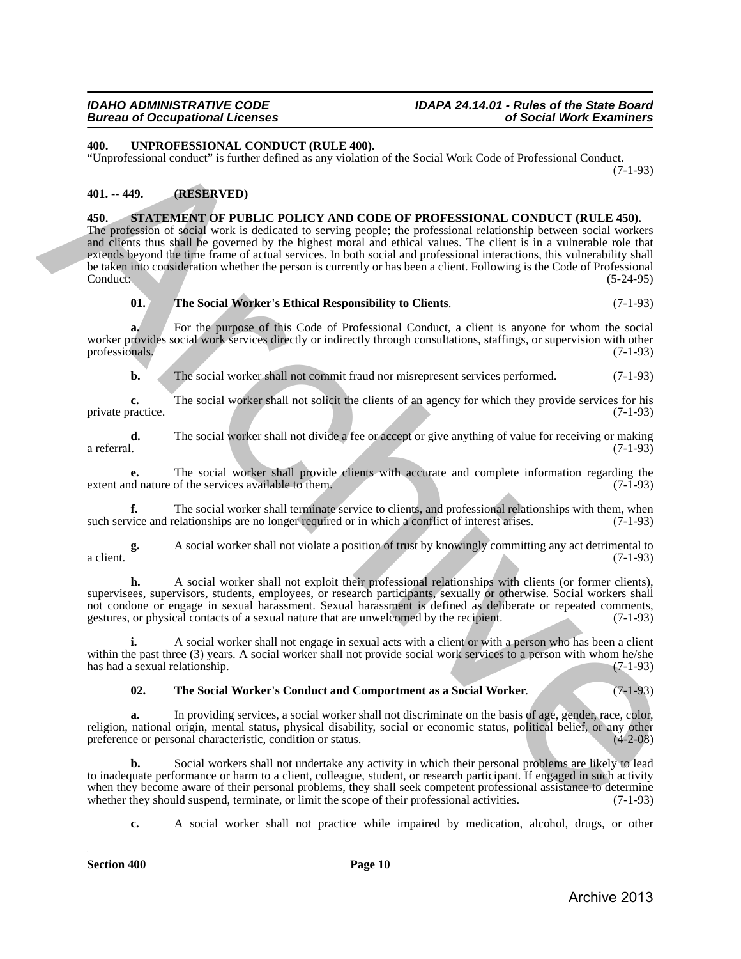# <span id="page-9-6"></span><span id="page-9-0"></span>**400. UNPROFESSIONAL CONDUCT (RULE 400).**

"Unprofessional conduct" is further defined as any violation of the Social Work Code of Professional Conduct. (7-1-93)

# <span id="page-9-3"></span><span id="page-9-2"></span><span id="page-9-1"></span>**401. -- 449. (RESERVED)**

**450. STATEMENT OF PUBLIC POLICY AND CODE OF PROFESSIONAL CONDUCT (RULE 450).** The profession of social work is dedicated to serving people; the professional relationship between social workers and clients thus shall be governed by the highest moral and ethical values. The client is in a vulnerable role that extends beyond the time frame of actual services. In both social and professional interactions, this vulnerability shall be taken into consideration whether the person is currently or has been a client. Following is the Code of Professional Conduct: (5-24-95) **200**<br> **EVAPORESSIONAL CONDICT PILITER 4800).**<br> **CONDICT CONDICT CONDICT CONDICT CONDICT CONDICT CONDICT**<br> **CONDICT CONDICT CONDICT CONDICT CONDICT**<br> **CONDICT CONDICT CONDICT CONDICT CONDICT**

<span id="page-9-5"></span>**01. The Social Worker's Ethical Responsibility to Clients**. (7-1-93)

**a.** For the purpose of this Code of Professional Conduct, a client is anyone for whom the social worker provides social work services directly or indirectly through consultations, staffings, or supervision with other professionals. (7-1-93) professionals.

**b.** The social worker shall not commit fraud nor misrepresent services performed.  $(7-1-93)$ 

**c.** The social worker shall not solicit the clients of an agency for which they provide services for his ractice. (7-1-93) private practice.

**d.** The social worker shall not divide a fee or accept or give anything of value for receiving or making a referral. a referral. (7-1-93)

**e.** The social worker shall provide clients with accurate and complete information regarding the distance of the services available to them. (7-1-93) extent and nature of the services available to them.

**f.** The social worker shall terminate service to clients, and professional relationships with them, when vice and relationships are no longer required or in which a conflict of interest arises. (7-1-93) such service and relationships are no longer required or in which a conflict of interest arises.

**g.** A social worker shall not violate a position of trust by knowingly committing any act detrimental to a client.  $(7-1-93)$ 

**h.** A social worker shall not exploit their professional relationships with clients (or former clients), supervisees, supervisors, students, employees, or research participants, sexually or otherwise. Social workers shall not condone or engage in sexual harassment. Sexual harassment is defined as deliberate or repeated comments, gestures, or physical contacts of a sexual nature that are unwelcomed by the recipient. (7-1-93) gestures, or physical contacts of a sexual nature that are unwelcomed by the recipient.

**i.** A social worker shall not engage in sexual acts with a client or with a person who has been a client within the past three (3) years. A social worker shall not provide social work services to a person with whom he/she<br>has had a sexual relationship. (7-1-93) has had a sexual relationship.

# <span id="page-9-4"></span>**02. The Social Worker's Conduct and Comportment as a Social Worker**. (7-1-93)

**a.** In providing services, a social worker shall not discriminate on the basis of age, gender, race, color, religion, national origin, mental status, physical disability, social or economic status, political belief, or any other preference or personal characteristic, condition or status. (4-2-08) preference or personal characteristic, condition or status.

**b.** Social workers shall not undertake any activity in which their personal problems are likely to lead to inadequate performance or harm to a client, colleague, student, or research participant. If engaged in such activity when they become aware of their personal problems, they shall seek competent professional assistance to determine<br>whether they should suspend, terminate, or limit the scope of their professional activities. (7-1-93) whether they should suspend, terminate, or limit the scope of their professional activities.

**c.** A social worker shall not practice while impaired by medication, alcohol, drugs, or other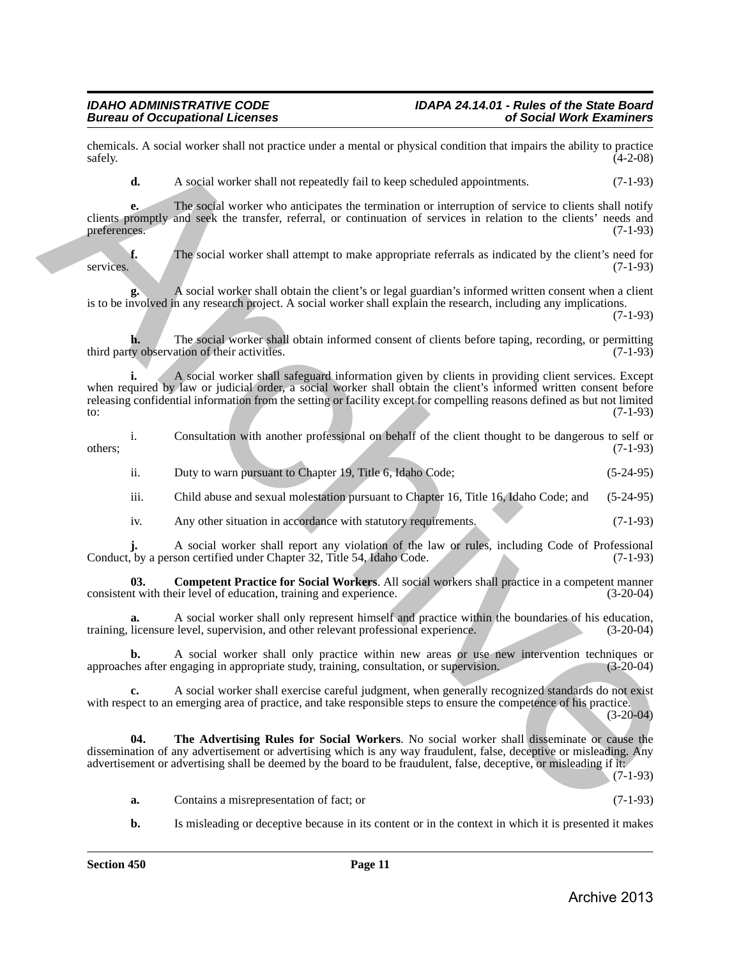chemicals. A social worker shall not practice under a mental or physical condition that impairs the ability to practice  $\text{safely.}$  (4-2-08)

**d.** A social worker shall not repeatedly fail to keep scheduled appointments. (7-1-93)

**e.** The social worker who anticipates the termination or interruption of service to clients shall notify clients promptly and seek the transfer, referral, or continuation of services in relation to the clients' needs and preferences. (7-1-93)

**f.** The social worker shall attempt to make appropriate referrals as indicated by the client's need for services. (7-1-93)

**g.** A social worker shall obtain the client's or legal guardian's informed written consent when a client is to be involved in any research project. A social worker shall explain the research, including any implications.

(7-1-93)

**h.** The social worker shall obtain informed consent of clients before taping, recording, or permitting ty observation of their activities. third party observation of their activities.

**i.** A social worker shall safeguard information given by clients in providing client services. Except when required by law or judicial order, a social worker shall obtain the client's informed written consent before releasing confidential information from the setting or facility except for compelling reasons defined as but not limited to: (7-1-93) to:  $(7-1-93)$ chemicals. A modal scarier shall not particle under a mental or physical condition that two-photo (4.2.06)<br>
A. A register shall one to provide the chemical condition of the condition of the chemical or  $(3-1-2)$ )<br>
change

i. Consultation with another professional on behalf of the client thought to be dangerous to self or  $(7-1-93)$  (7-1-93)

- ii. Duty to warn pursuant to Chapter 19, Title 6, Idaho Code; (5-24-95)
- iii. Child abuse and sexual molestation pursuant to Chapter 16, Title 16, Idaho Code; and (5-24-95)
- <span id="page-10-0"></span>iv. Any other situation in accordance with statutory requirements. (7-1-93)

**j.** A social worker shall report any violation of the law or rules, including Code of Professional, by a person certified under Chapter 32, Title 54, Idaho Code. (7-1-93) Conduct, by a person certified under Chapter 32, Title 54, Idaho Code.

**03.** Competent Practice for Social Workers. All social workers shall practice in a competent manner it with their level of education, training and experience. (3-20-04) consistent with their level of education, training and experience.

**a.** A social worker shall only represent himself and practice within the boundaries of his education, licensure level, supervision, and other relevant professional experience. (3-20-04) training, licensure level, supervision, and other relevant professional experience.

**b.** A social worker shall only practice within new areas or use new intervention techniques or use after engaging in appropriate study, training, consultation, or supervision. (3-20-04) approaches after engaging in appropriate study, training, consultation, or supervision.

**c.** A social worker shall exercise careful judgment, when generally recognized standards do not exist with respect to an emerging area of practice, and take responsible steps to ensure the competence of his practice. (3-20-04)

**04. The Advertising Rules for Social Workers**. No social worker shall disseminate or cause the dissemination of any advertisement or advertising which is any way fraudulent, false, deceptive or misleading. Any advertisement or advertising shall be deemed by the board to be fraudulent, false, deceptive, or misleading if it:

(7-1-93)

- <span id="page-10-1"></span>**a.** Contains a misrepresentation of fact; or (7-1-93)
- **b.** Is misleading or deceptive because in its content or in the context in which it is presented it makes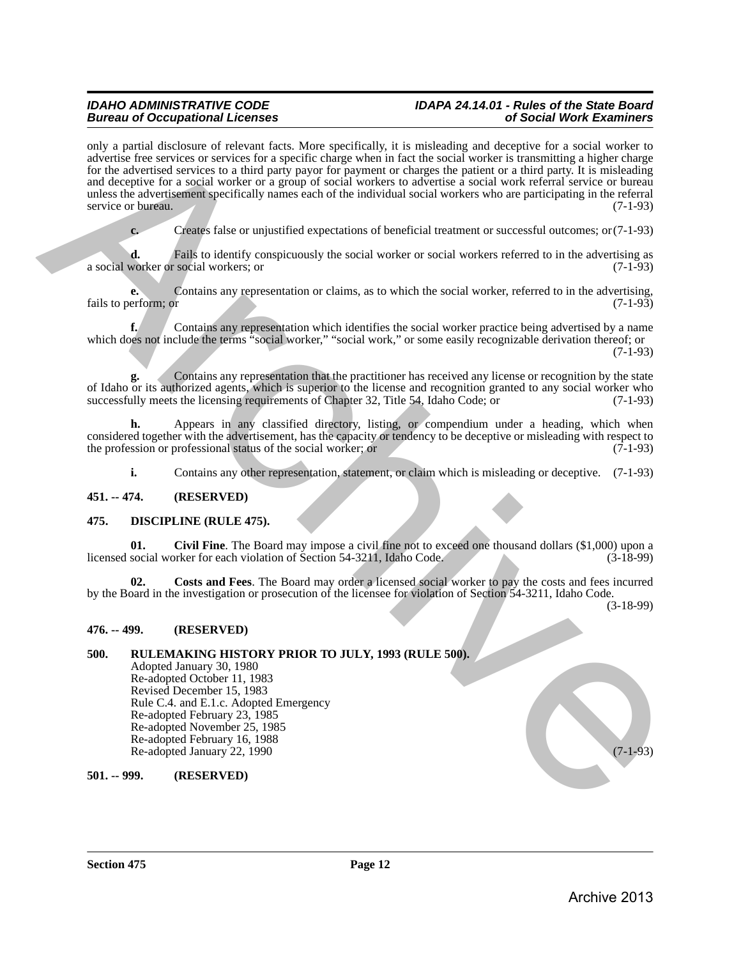# *Bureau of Occupational Licenses of Social Work Examiners*

# *IDAHO ADMINISTRATIVE CODE IDAPA 24.14.01 - Rules of the State Board*

only a partial disclosure of relevant facts. More specifically, it is misleading and deceptive for a social worker to advertise free services or services for a specific charge when in fact the social worker is transmitting a higher charge for the advertised services to a third party payor for payment or charges the patient or a third party. It is misleading and deceptive for a social worker or a group of social workers to advertise a social work referral service or bureau unless the advertisement specifically names each of the individual social workers who are participating in the referral service or bureau. (7-1-93) rely a point discussion of relation finite, More specifically, a is entirely and decopies for a vacination of the specifical specifical specifical specifical specifical specifical specifical specifical specifical specific

**c.** Creates false or unjustified expectations of beneficial treatment or successful outcomes; or(7-1-93)

**d.** Fails to identify conspicuously the social worker or social workers referred to in the advertising as worker or social workers; or (7-1-93) a social worker or social workers; or

**e.** Contains any representation or claims, as to which the social worker, referred to in the advertising, erform: or  $(7-1-93)$ fails to perform; or

**f.** Contains any representation which identifies the social worker practice being advertised by a name which does not include the terms "social worker," "social work," or some easily recognizable derivation thereof; or (7-1-93)

**g.** Contains any representation that the practitioner has received any license or recognition by the state of Idaho or its authorized agents, which is superior to the license and recognition granted to any social worker who successfully meets the licensing requirements of Chapter 32. Title 54, Idaho Code: or (7-1-93) successfully meets the licensing requirements of Chapter 32, Title 54, Idaho Code; or

**h.** Appears in any classified directory, listing, or compendium under a heading, which when considered together with the advertisement, has the capacity or tendency to be deceptive or misleading with respect to the profession or professional status of the social worker; or (7-1-93) the profession or professional status of the social worker; or

<span id="page-11-6"></span><span id="page-11-5"></span>**i.** Contains any other representation, statement, or claim which is misleading or deceptive. (7-1-93)

# <span id="page-11-0"></span>**451. -- 474. (RESERVED)**

# <span id="page-11-1"></span>**475. DISCIPLINE (RULE 475).**

**01. Civil Fine**. The Board may impose a civil fine not to exceed one thousand dollars (\$1,000) upon a licensed social worker for each violation of Section 54-3211, Idaho Code.

<span id="page-11-7"></span>**02. Costs and Fees**. The Board may order a licensed social worker to pay the costs and fees incurred by the Board in the investigation or prosecution of the licensee for violation of Section 54-3211, Idaho Code.

(3-18-99)

# <span id="page-11-2"></span>**476. -- 499. (RESERVED)**

#### <span id="page-11-3"></span>**500. RULEMAKING HISTORY PRIOR TO JULY, 1993 (RULE 500).** Adopted January 30, 1980 Re-adopted October 11, 1983 Revised December 15, 1983 Rule C.4. and E.1.c. Adopted Emergency Re-adopted February 23, 1985 Re-adopted November 25, 1985 Re-adopted February 16, 1988 Re-adopted January 22, 1990 (7-1-93)

<span id="page-11-4"></span>**501. -- 999. (RESERVED)**